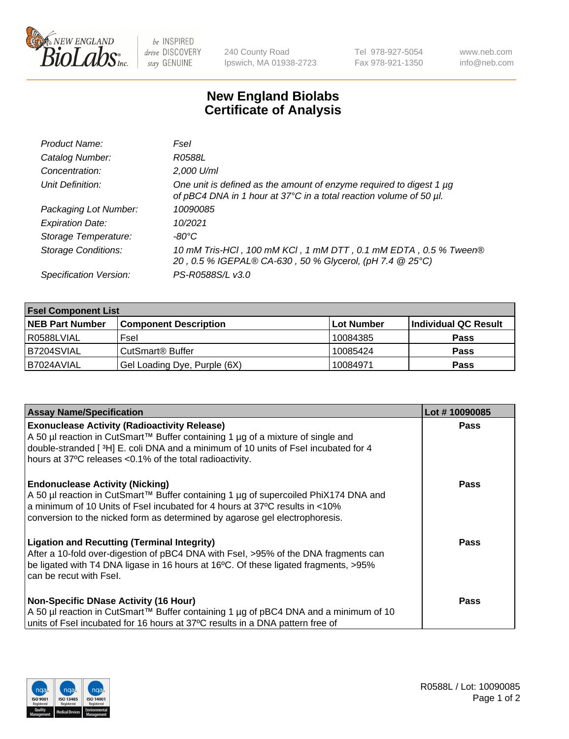

 $be$  INSPIRED drive DISCOVERY stay GENUINE

240 County Road Ipswich, MA 01938-2723 Tel 978-927-5054 Fax 978-921-1350 www.neb.com info@neb.com

## **New England Biolabs Certificate of Analysis**

| Product Name:              | Fsel                                                                                                                                      |
|----------------------------|-------------------------------------------------------------------------------------------------------------------------------------------|
| Catalog Number:            | R0588L                                                                                                                                    |
| Concentration:             | 2,000 U/ml                                                                                                                                |
| Unit Definition:           | One unit is defined as the amount of enzyme required to digest 1 µg<br>of pBC4 DNA in 1 hour at 37°C in a total reaction volume of 50 µl. |
| Packaging Lot Number:      | 10090085                                                                                                                                  |
| <b>Expiration Date:</b>    | 10/2021                                                                                                                                   |
| Storage Temperature:       | $-80^{\circ}$ C                                                                                                                           |
| <b>Storage Conditions:</b> | 10 mM Tris-HCl, 100 mM KCl, 1 mM DTT, 0.1 mM EDTA, 0.5 % Tween®<br>20, 0.5 % IGEPAL® CA-630, 50 % Glycerol, (pH 7.4 @ 25°C)               |
| Specification Version:     | PS-R0588S/L v3.0                                                                                                                          |

| <b>Fsel Component List</b> |                              |                   |                      |  |  |
|----------------------------|------------------------------|-------------------|----------------------|--|--|
| <b>NEB Part Number</b>     | <b>Component Description</b> | <b>Lot Number</b> | Individual QC Result |  |  |
| R0588LVIAL                 | Fsel                         | 10084385          | <b>Pass</b>          |  |  |
| B7204SVIAL                 | CutSmart <sup>®</sup> Buffer | 10085424          | <b>Pass</b>          |  |  |
| IB7024AVIAL                | Gel Loading Dye, Purple (6X) | 10084971          | <b>Pass</b>          |  |  |

| <b>Assay Name/Specification</b>                                                                                                                                                                                              | Lot #10090085 |
|------------------------------------------------------------------------------------------------------------------------------------------------------------------------------------------------------------------------------|---------------|
| <b>Exonuclease Activity (Radioactivity Release)</b><br>A 50 µl reaction in CutSmart™ Buffer containing 1 µg of a mixture of single and<br>double-stranded [3H] E. coli DNA and a minimum of 10 units of Fsel incubated for 4 | <b>Pass</b>   |
| hours at 37°C releases <0.1% of the total radioactivity.<br><b>Endonuclease Activity (Nicking)</b><br>A 50 µl reaction in CutSmart™ Buffer containing 1 µg of supercoiled PhiX174 DNA and                                    | <b>Pass</b>   |
| a minimum of 10 Units of Fsel incubated for 4 hours at 37°C results in <10%<br>conversion to the nicked form as determined by agarose gel electrophoresis.<br><b>Ligation and Recutting (Terminal Integrity)</b>             | Pass          |
| After a 10-fold over-digestion of pBC4 DNA with Fsel, >95% of the DNA fragments can<br>be ligated with T4 DNA ligase in 16 hours at 16°C. Of these ligated fragments, >95%<br>can be recut with Fsel.                        |               |
| <b>Non-Specific DNase Activity (16 Hour)</b><br>  A 50 µl reaction in CutSmart™ Buffer containing 1 µg of pBC4 DNA and a minimum of 10<br>units of Fsel incubated for 16 hours at 37°C results in a DNA pattern free of      | <b>Pass</b>   |